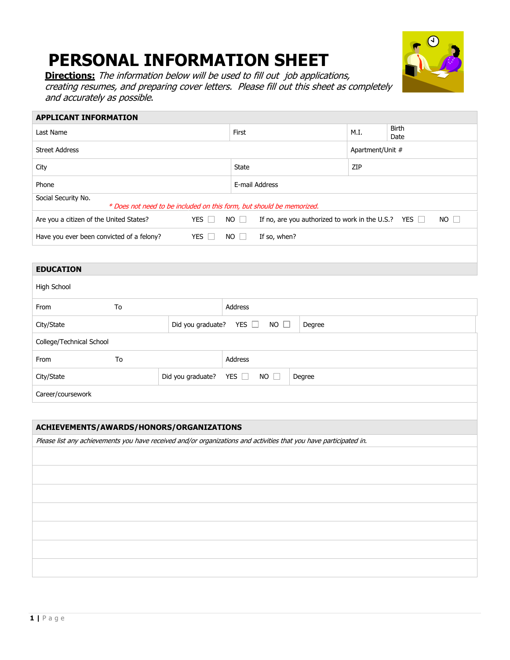# **PERSONAL INFORMATION SHEET**



**Directions:** The information below will be used to fill out job applications, creating resumes, and preparing cover letters. Please fill out this sheet as completely and accurately as possible.

## **APPLICANT INFORMATION** Last Name Birth M.I. Birth M.I. Birth Date Street Address **Apartment/Unit #** Apartment/Unit # City **State**  $\vert$  2IP Phone **E-mail Address** Social Security No. \* Does not need to be included on this form, but should be memorized. Are you a citizen of the United States? YES  $\Box$  NO  $\Box$  If no, are you authorized to work in the U.S.? YES  $\Box$  NO  $\Box$ Have you ever been convicted of a felony? YES  $\Box$  NO  $\Box$  If so, when?

#### **EDUCATION**

| High School              |    |                   |                           |        |  |
|--------------------------|----|-------------------|---------------------------|--------|--|
| From                     | To |                   | Address                   |        |  |
| City/State               |    | Did you graduate? | YES $\Box$<br>$NO$ $\Box$ | Degree |  |
| College/Technical School |    |                   |                           |        |  |
| From                     | To |                   | Address                   |        |  |
| City/State               |    | Did you graduate? | YES $\Box$<br>$NO$ $\Box$ | Degree |  |
| Career/coursework        |    |                   |                           |        |  |
|                          |    |                   |                           |        |  |

#### **ACHIEVEMENTS/AWARDS/HONORS/ORGANIZATIONS**

Please list any achievements you have received and/or organizations and activities that you have participated in.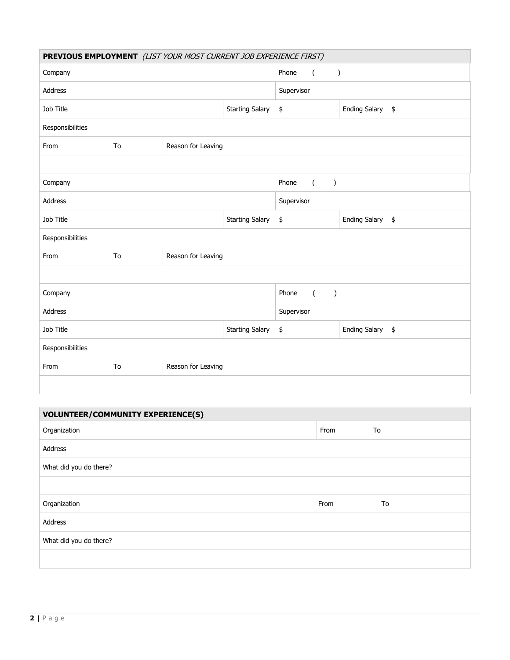| PREVIOUS EMPLOYMENT (LIST YOUR MOST CURRENT JOB EXPERIENCE FIRST) |                          |                    |                        |            |                             |                            |  |  |
|-------------------------------------------------------------------|--------------------------|--------------------|------------------------|------------|-----------------------------|----------------------------|--|--|
| Company                                                           |                          |                    |                        | Phone      | $\overline{(\ }$            | $\mathcal{E}$              |  |  |
| <b>Address</b>                                                    |                          |                    |                        | Supervisor |                             |                            |  |  |
| Job Title                                                         |                          |                    | <b>Starting Salary</b> | \$         |                             | <b>Ending Salary</b><br>\$ |  |  |
| Responsibilities                                                  |                          |                    |                        |            |                             |                            |  |  |
| From                                                              | Reason for Leaving<br>To |                    |                        |            |                             |                            |  |  |
|                                                                   |                          |                    |                        |            |                             |                            |  |  |
| Company                                                           |                          |                    |                        | Phone      | $\sqrt{2}$<br>$\mathcal{C}$ |                            |  |  |
| <b>Address</b>                                                    |                          |                    |                        | Supervisor |                             |                            |  |  |
| Job Title                                                         |                          |                    | <b>Starting Salary</b> | \$         |                             | Ending Salary \$           |  |  |
| Responsibilities                                                  |                          |                    |                        |            |                             |                            |  |  |
| From                                                              | To                       | Reason for Leaving |                        |            |                             |                            |  |  |
|                                                                   |                          |                    |                        |            |                             |                            |  |  |
| Company                                                           |                          |                    |                        | Phone      | $\overline{a}$<br>$\lambda$ |                            |  |  |
| Address                                                           |                          |                    |                        | Supervisor |                             |                            |  |  |
| Job Title                                                         |                          |                    | <b>Starting Salary</b> | \$         |                             | Ending Salary \$           |  |  |
| Responsibilities                                                  |                          |                    |                        |            |                             |                            |  |  |
| From                                                              | To                       | Reason for Leaving |                        |            |                             |                            |  |  |
|                                                                   |                          |                    |                        |            |                             |                            |  |  |

| <b>VOLUNTEER/COMMUNITY EXPERIENCE(S)</b> |      |    |  |  |  |
|------------------------------------------|------|----|--|--|--|
| Organization                             | From | To |  |  |  |
| Address                                  |      |    |  |  |  |
| What did you do there?                   |      |    |  |  |  |
|                                          |      |    |  |  |  |
| Organization                             | From | To |  |  |  |
| Address                                  |      |    |  |  |  |
| What did you do there?                   |      |    |  |  |  |
|                                          |      |    |  |  |  |